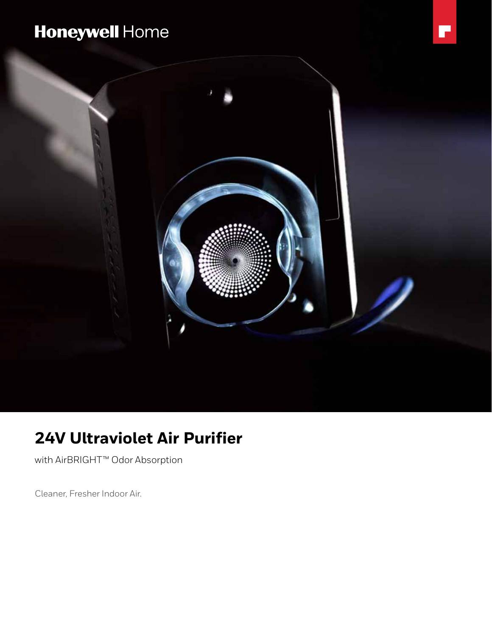# Honeywell Home



## **24V Ultraviolet Air Purifier**

with AirBRIGHT™ Odor Absorption

Cleaner, Fresher Indoor Air.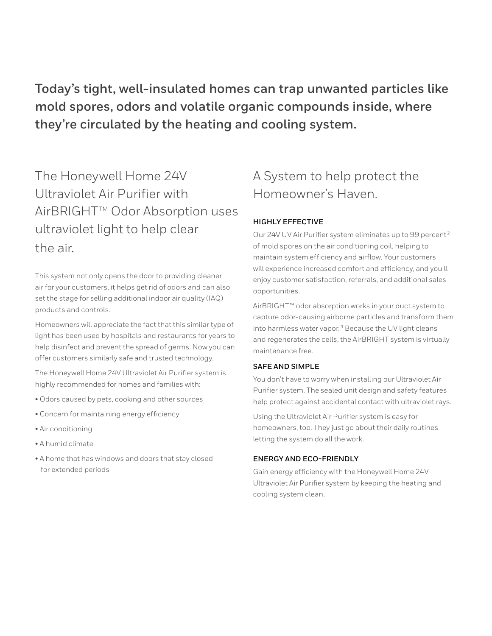**Today's tight, well-insulated homes can trap unwanted particles like mold spores, odors and volatile organic compounds inside, where they're circulated by the heating and cooling system.**

The Honeywell Home 24V Ultraviolet Air Purifier with AirBRIGHT<sup>™</sup> Odor Absorption uses ultraviolet light to help clear the air.

This system not only opens the door to providing cleaner air for your customers, it helps get rid of odors and can also set the stage for selling additional indoor air quality (IAQ) products and controls.

Homeowners will appreciate the fact that this similar type of light has been used by hospitals and restaurants for years to help disinfect and prevent the spread of germs. Now you can offer customers similarly safe and trusted technology.

The Honeywell Home 24V Ultraviolet Air Purifier system is highly recommended for homes and families with:

- Odors caused by pets, cooking and other sources
- Concern for maintaining energy efficiency
- Air conditioning
- A humid climate
- A home that has windows and doors that stay closed for extended periods

### A System to help protect the Homeowner's Haven.

#### **HIGHLY EFFECTIVE**

Our 24V UV Air Purifier system eliminates up to 99 percent 2 of mold spores on the air conditioning coil, helping to maintain system efficiency and airflow. Your customers will experience increased comfort and efficiency, and you'll enjoy customer satisfaction, referrals, and additional sales opportunities.

AirBRIGHT™ odor absorption works in your duct system to capture odor-causing airborne particles and transform them into harmless water vapor. $3$  Because the UV light cleans and regenerates the cells, the AirBRIGHT system is virtually maintenance free.

#### **SAFE AND SIMPLE**

You don't have to worry when installing our Ultraviolet Air Purifier system. The sealed unit design and safety features help protect against accidental contact with ultraviolet rays.

Using the Ultraviolet Air Purifier system is easy for homeowners, too. They just go about their daily routines letting the system do all the work.

#### **ENERGY AND ECO-FRIENDLY**

Gain energy efficiency with the Honeywell Home 24V Ultraviolet Air Purifier system by keeping the heating and cooling system clean.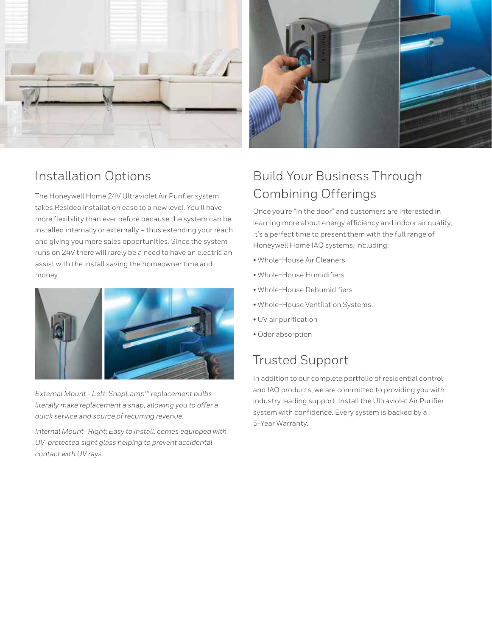



The Honeywell Home 24V Ultraviolet Air Purifier system takes Resideo installation ease to a new level. You'll have more flexibility than ever before because the system can be installed internally or externally – thus extending your reach and giving you more sales opportunities. Since the system runs on 24V there will rarely be a need to have an electrician assist with the install saving the homeowner time and money.



*External Mount - Left: SnapLamp™ replacement bulbs literally make replacement a snap, allowing you to offer a quick service and source of recurring revenue.*

*Internal Mount- Right: Easy to install, comes equipped with UV-protected sight glass helping to prevent accidental contact with UV rays.*



### Build Your Business Through Combining Offerings

Once you're "in the door" and customers are interested in learning more about energy efficiency and indoor air quality, it's a perfect time to present them with the full range of Honeywell Home IAQ systems, including:

- Whole-House Air Cleaners
- Whole-House Humidifiers
- Whole-House Dehumidifiers
- Whole-House Ventilation Systems.
- UV air purification
- Odor absorption

### Trusted Support

In addition to our complete portfolio of residential control and IAQ products, we are committed to providing you with industry leading support. Install the Ultraviolet Air Purifier system with confidence. Every system is backed by a 5-Year Warranty.